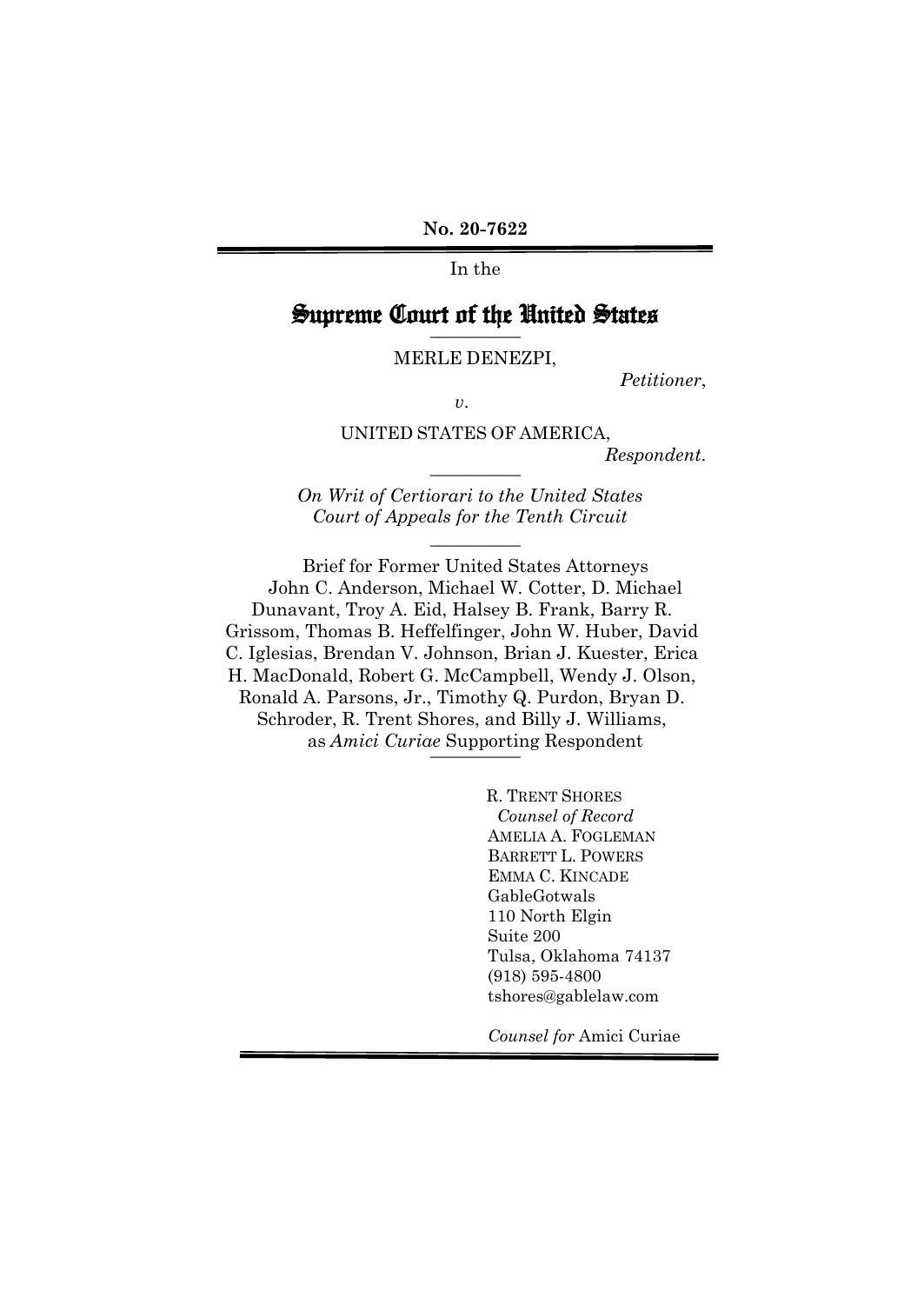**No. 20-7622** 

In the

# Supreme Court of the United States **\_\_\_\_\_\_\_\_\_\_**

MERLE DENEZPI,

*Petitioner*,

*v*.

UNITED STATES OF AMERICA,

 $Respondent.$ 

*On Writ of Certiorari to the United States Court of Appeals for the Tenth Circuit* 

**\_\_\_\_\_\_\_\_\_\_**

Brief for Former United States Attorneys John C. Anderson, Michael W. Cotter, D. Michael Dunavant, Troy A. Eid, Halsey B. Frank, Barry R. Grissom, Thomas B. Heffelfinger, John W. Huber, David C. Iglesias, Brendan V. Johnson, Brian J. Kuester, Erica H. MacDonald, Robert G. McCampbell, Wendy J. Olson, Ronald A. Parsons, Jr., Timothy Q. Purdon, Bryan D. Schroder, R. Trent Shores, and Billy J. Williams, as *Amici Curiae* Supporting Respondent \_\_\_\_\_\_\_\_\_\_

> R. TRENT SHORES  *Counsel of Record*  AMELIA A. FOGLEMAN BARRETT L. POWERS EMMA C. KINCADE GableGotwals 110 North Elgin Suite 200 Tulsa, Oklahoma 74137 (918) 595-4800 tshores@gablelaw.com

*Counsel for* Amici Curiae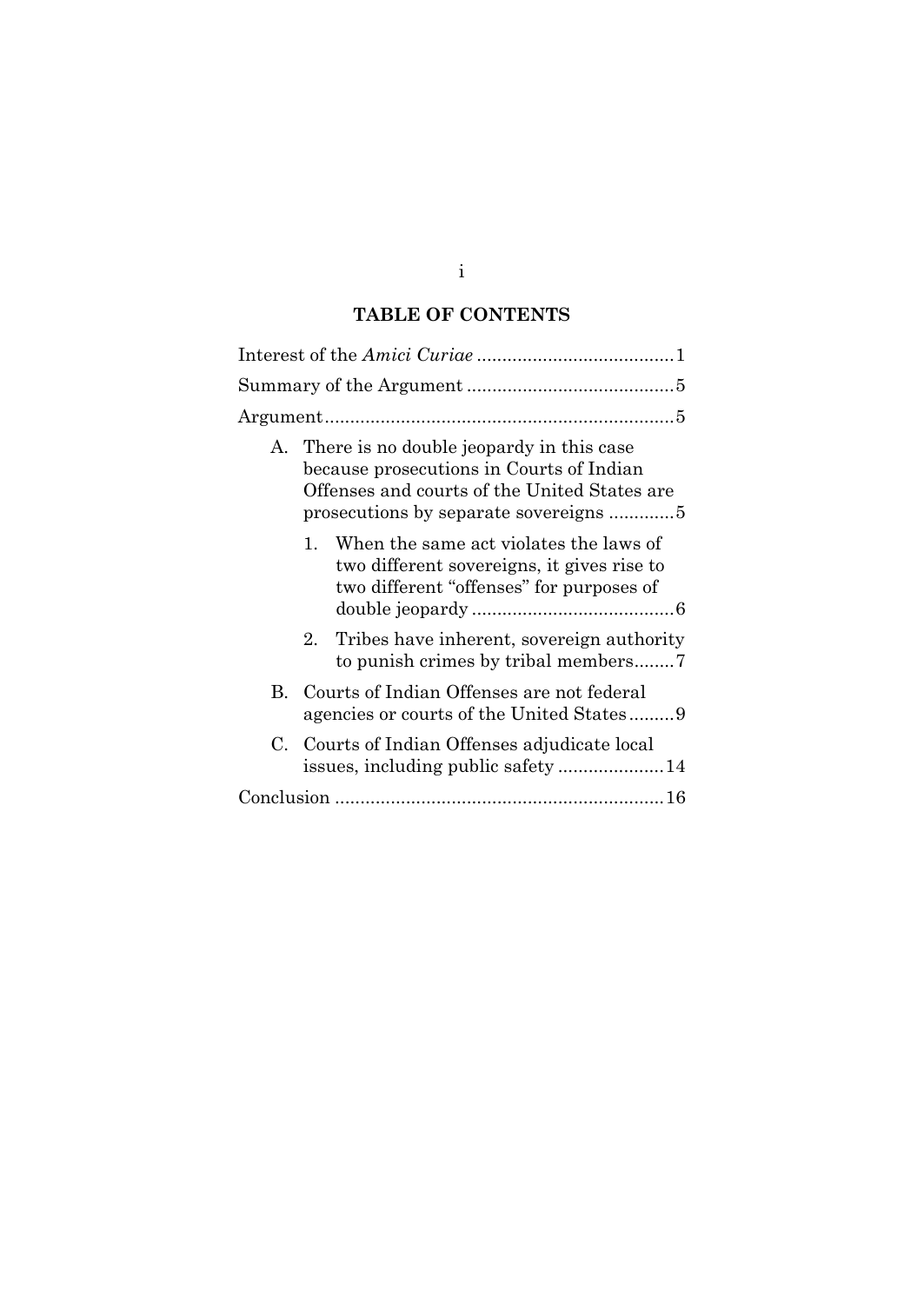# **TABLE OF CONTENTS**

| $A_{-}$  | There is no double jeopardy in this case<br>because prosecutions in Courts of Indian<br>Offenses and courts of the United States are |
|----------|--------------------------------------------------------------------------------------------------------------------------------------|
|          | 1. When the same act violates the laws of<br>two different sovereigns, it gives rise to<br>two different "offenses" for purposes of  |
| $2_{-}$  | Tribes have inherent, sovereign authority                                                                                            |
| $\bf{B}$ | Courts of Indian Offenses are not federal<br>agencies or courts of the United States9                                                |
|          | C. Courts of Indian Offenses adjudicate local                                                                                        |
|          |                                                                                                                                      |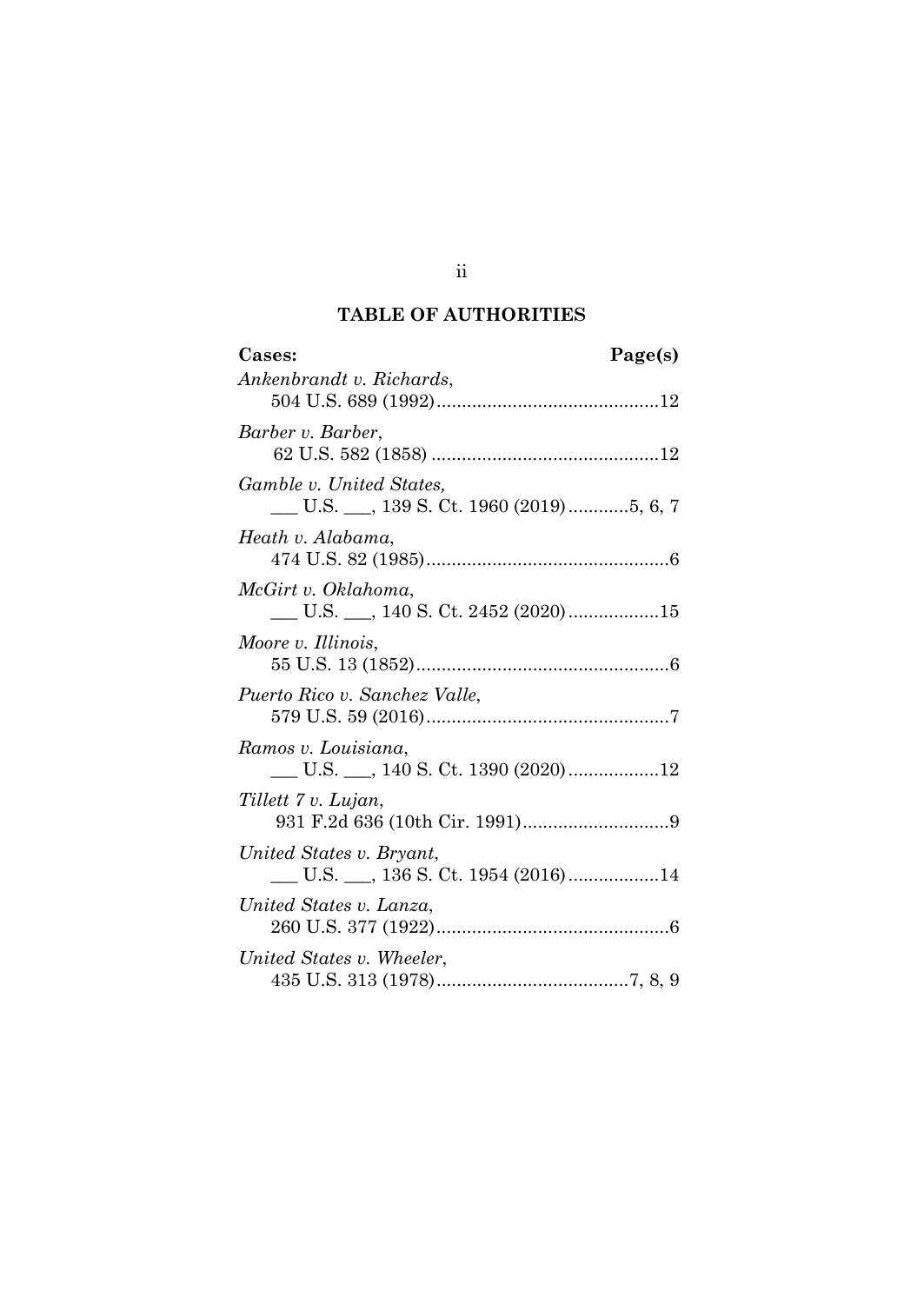## **TABLE OF AUTHORITIES**

| Cases:<br>Page(s)                                                  |
|--------------------------------------------------------------------|
| Ankenbrandt v. Richards,                                           |
| Barber v. Barber,                                                  |
| Gamble v. United States,<br>U.S. __, 139 S. Ct. 1960 (2019)5, 6, 7 |
| Heath v. Alabama,                                                  |
| McGirt v. Oklahoma,<br>U.S. 140 S. Ct. 2452 (2020) 15              |
| Moore v. Illinois,                                                 |
| Puerto Rico v. Sanchez Valle,                                      |
| Ramos v. Louisiana,                                                |
| Tillett 7 v. Lujan,                                                |
| United States v. Bryant,                                           |
| United States v. Lanza.                                            |
| United States v. Wheeler,                                          |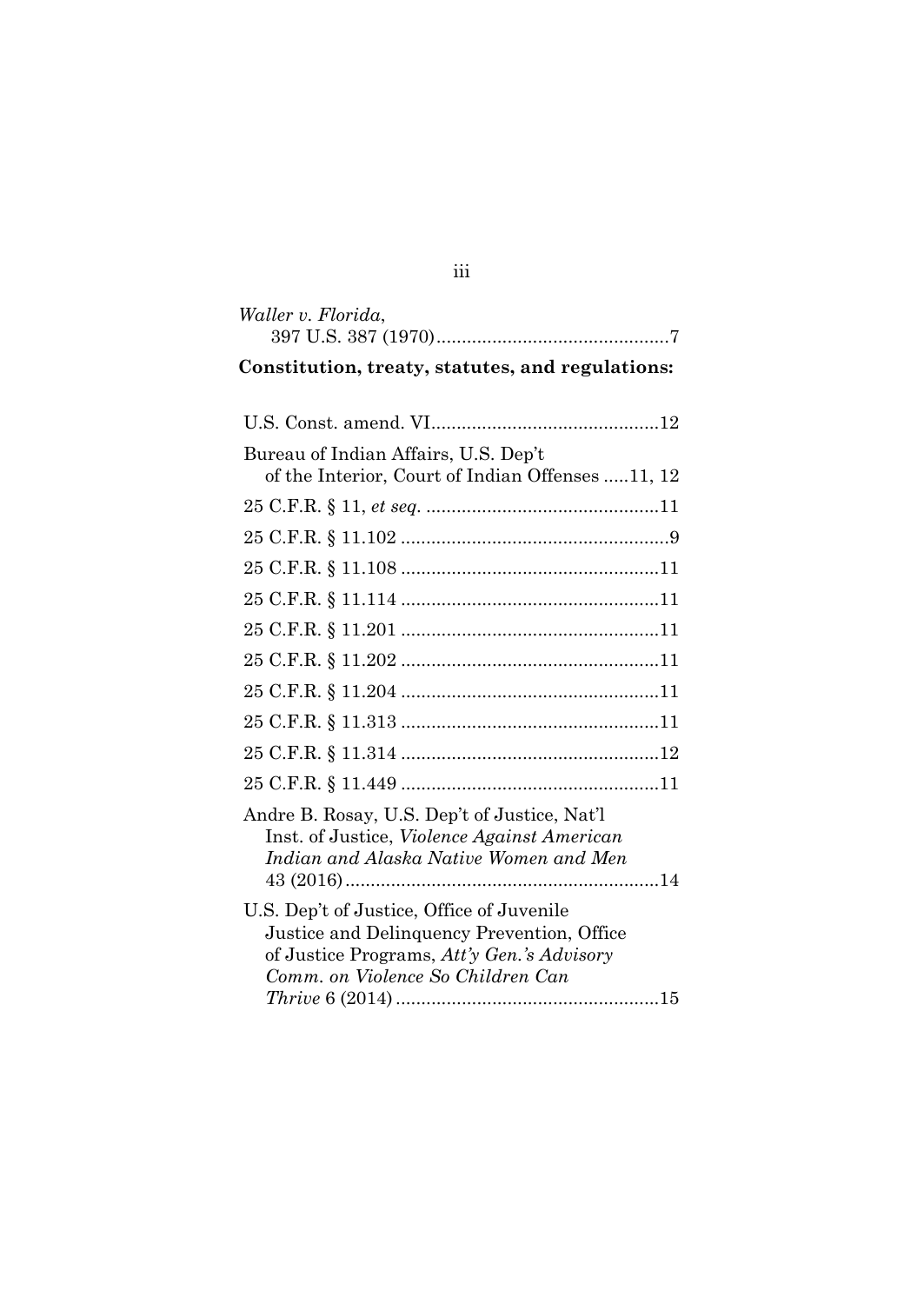| Waller v. Florida,                                                                                                                                                                                       |
|----------------------------------------------------------------------------------------------------------------------------------------------------------------------------------------------------------|
|                                                                                                                                                                                                          |
| Constitution, treaty, statutes, and regulations:                                                                                                                                                         |
|                                                                                                                                                                                                          |
| Bureau of Indian Affairs, U.S. Dep't<br>of the Interior, Court of Indian Offenses 11, 12                                                                                                                 |
|                                                                                                                                                                                                          |
|                                                                                                                                                                                                          |
|                                                                                                                                                                                                          |
|                                                                                                                                                                                                          |
|                                                                                                                                                                                                          |
|                                                                                                                                                                                                          |
|                                                                                                                                                                                                          |
|                                                                                                                                                                                                          |
|                                                                                                                                                                                                          |
|                                                                                                                                                                                                          |
| Andre B. Rosay, U.S. Dep't of Justice, Nat'l<br>Inst. of Justice, Violence Against American<br>Indian and Alaska Native Women and Men                                                                    |
| U.S. Dep't of Justice, Office of Juvenile<br>Justice and Delinquency Prevention, Office<br>of Justice Programs, Att'y Gen.'s Advisory<br>Comm. on Violence So Children Can<br>$Thrive 6 (2014) \dots 15$ |

iii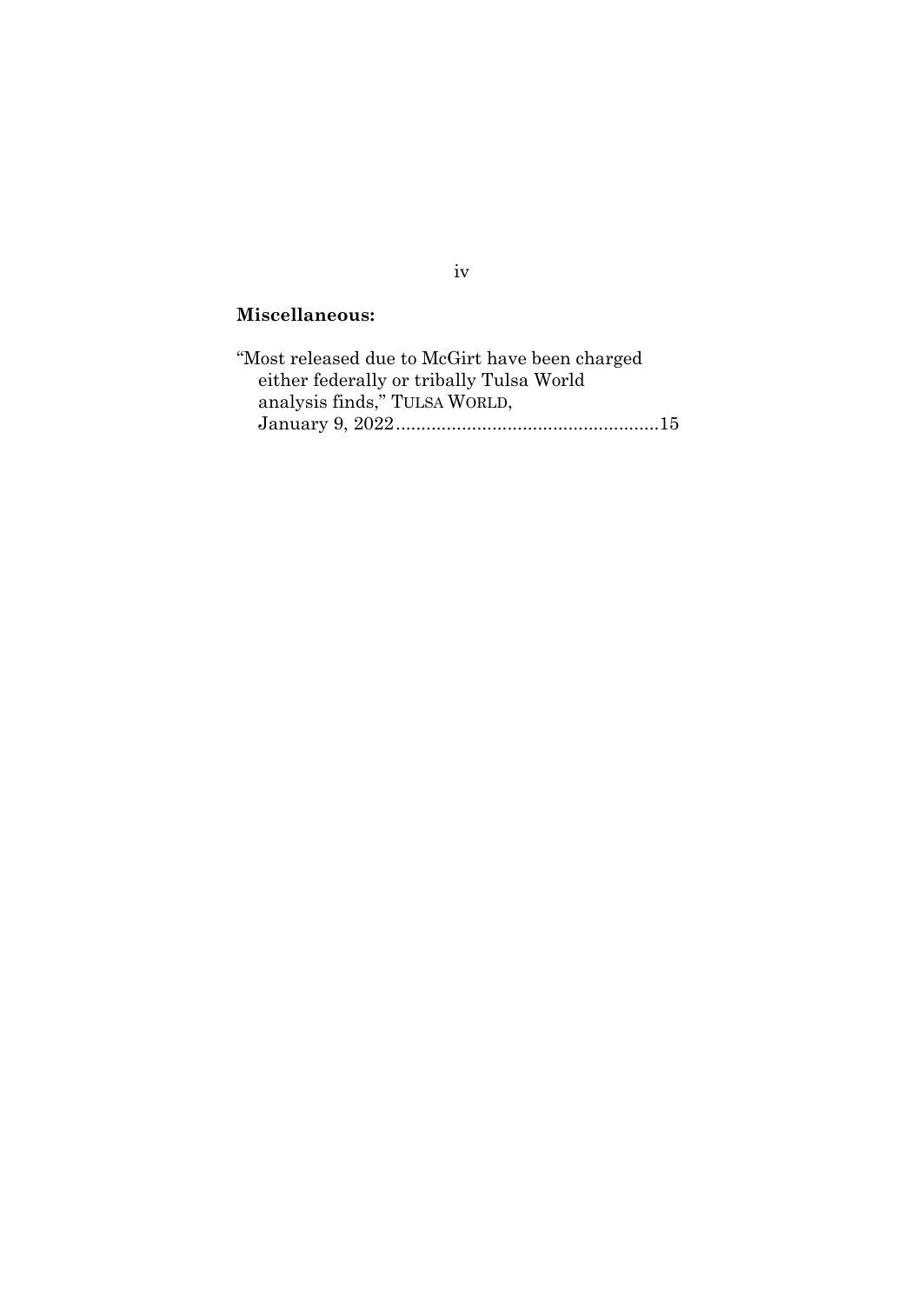## **Miscellaneous:**

| "Most released due to McGirt have been charged |  |
|------------------------------------------------|--|
| either federally or tribally Tulsa World       |  |
| analysis finds," TULSA WORLD,                  |  |
|                                                |  |

## iv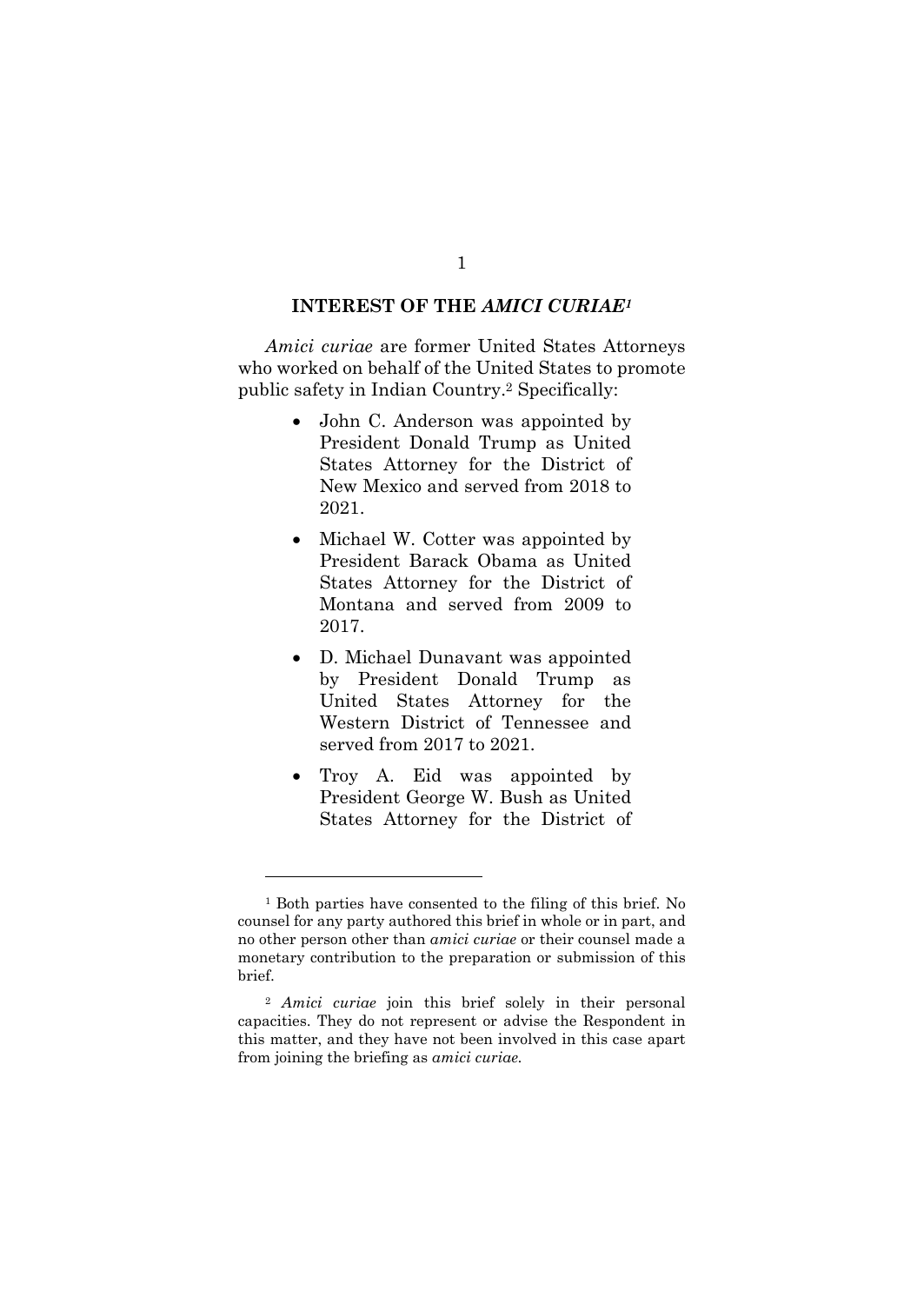#### **INTEREST OF THE** *AMICI CURIAE1*

*Amici curiae* are former United States Attorneys who worked on behalf of the United States to promote public safety in Indian Country.2 Specifically:

- John C. Anderson was appointed by President Donald Trump as United States Attorney for the District of New Mexico and served from 2018 to 2021.
- Michael W. Cotter was appointed by President Barack Obama as United States Attorney for the District of Montana and served from 2009 to 2017.
- D. Michael Dunavant was appointed by President Donald Trump as United States Attorney for the Western District of Tennessee and served from 2017 to 2021.
- Troy A. Eid was appointed by President George W. Bush as United States Attorney for the District of

<sup>1</sup> Both parties have consented to the filing of this brief. No counsel for any party authored this brief in whole or in part, and no other person other than *amici curiae* or their counsel made a monetary contribution to the preparation or submission of this brief.

<sup>2</sup> *Amici curiae* join this brief solely in their personal capacities. They do not represent or advise the Respondent in this matter, and they have not been involved in this case apart from joining the briefing as *amici curiae.*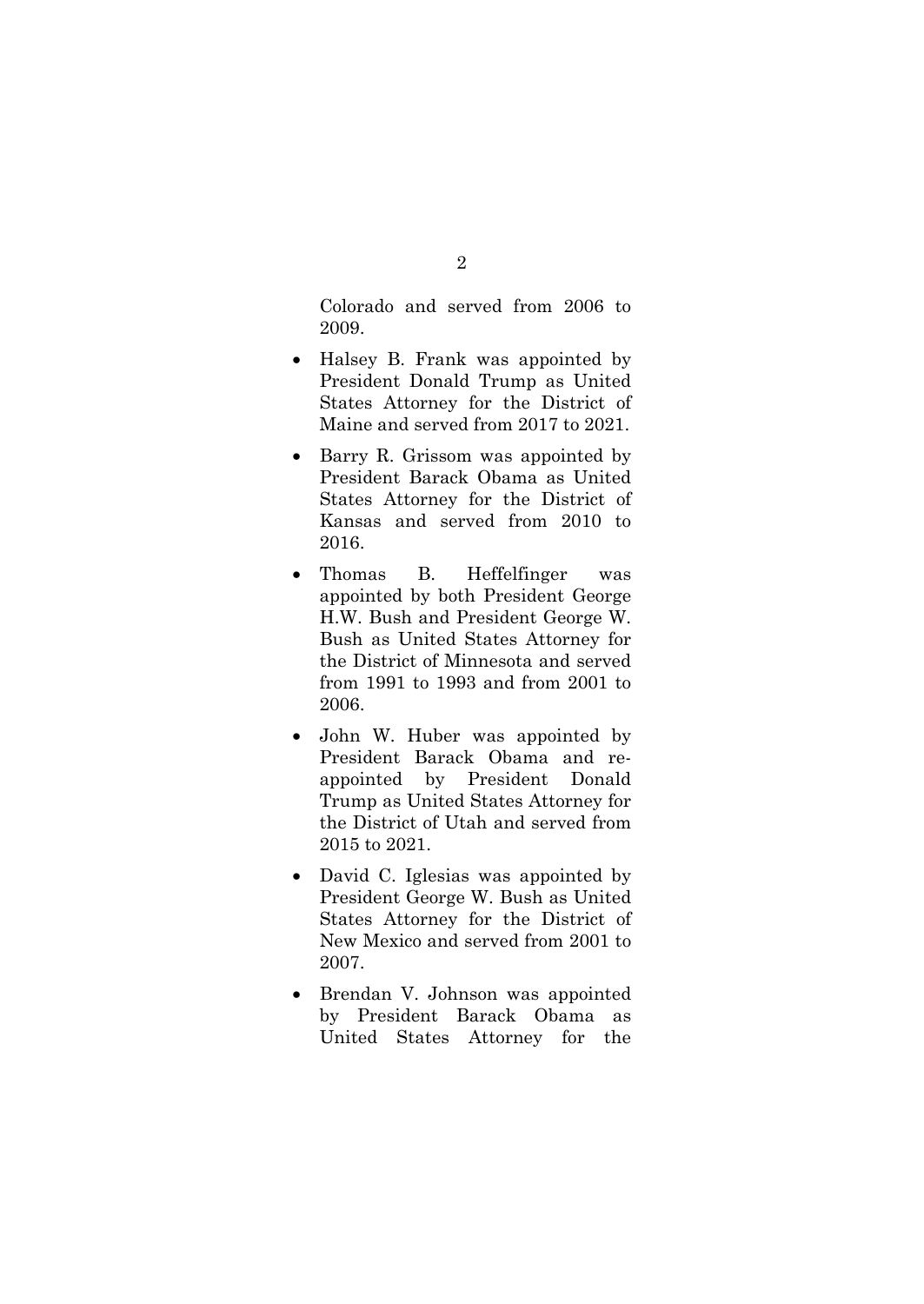Colorado and served from 2006 to 2009.

- Halsey B. Frank was appointed by President Donald Trump as United States Attorney for the District of Maine and served from 2017 to 2021.
- Barry R. Grissom was appointed by President Barack Obama as United States Attorney for the District of Kansas and served from 2010 to 2016.
- Thomas B. Heffelfinger was appointed by both President George H.W. Bush and President George W. Bush as United States Attorney for the District of Minnesota and served from 1991 to 1993 and from 2001 to 2006.
- John W. Huber was appointed by President Barack Obama and reappointed by President Donald Trump as United States Attorney for the District of Utah and served from 2015 to 2021.
- David C. Iglesias was appointed by President George W. Bush as United States Attorney for the District of New Mexico and served from 2001 to 2007.
- Brendan V. Johnson was appointed by President Barack Obama as United States Attorney for the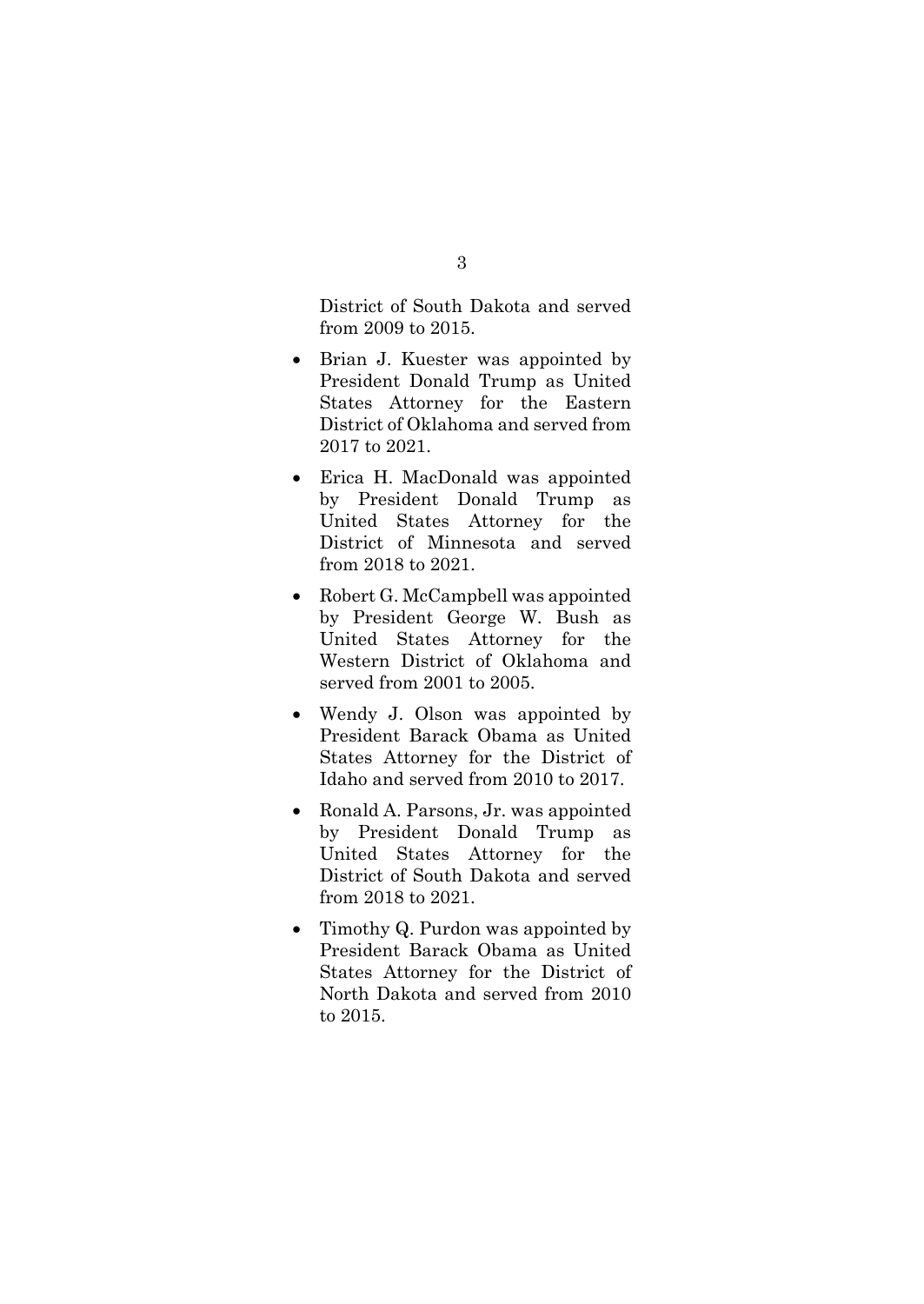District of South Dakota and served from 2009 to 2015.

- Brian J. Kuester was appointed by President Donald Trump as United States Attorney for the Eastern District of Oklahoma and served from 2017 to 2021.
- Erica H. MacDonald was appointed by President Donald Trump as United States Attorney for the District of Minnesota and served from 2018 to 2021.
- Robert G. McCampbell was appointed by President George W. Bush as United States Attorney for the Western District of Oklahoma and served from 2001 to 2005.
- Wendy J. Olson was appointed by President Barack Obama as United States Attorney for the District of Idaho and served from 2010 to 2017.
- Ronald A. Parsons, Jr. was appointed by President Donald Trump as United States Attorney for the District of South Dakota and served from 2018 to 2021.
- Timothy Q. Purdon was appointed by President Barack Obama as United States Attorney for the District of North Dakota and served from 2010 to 2015.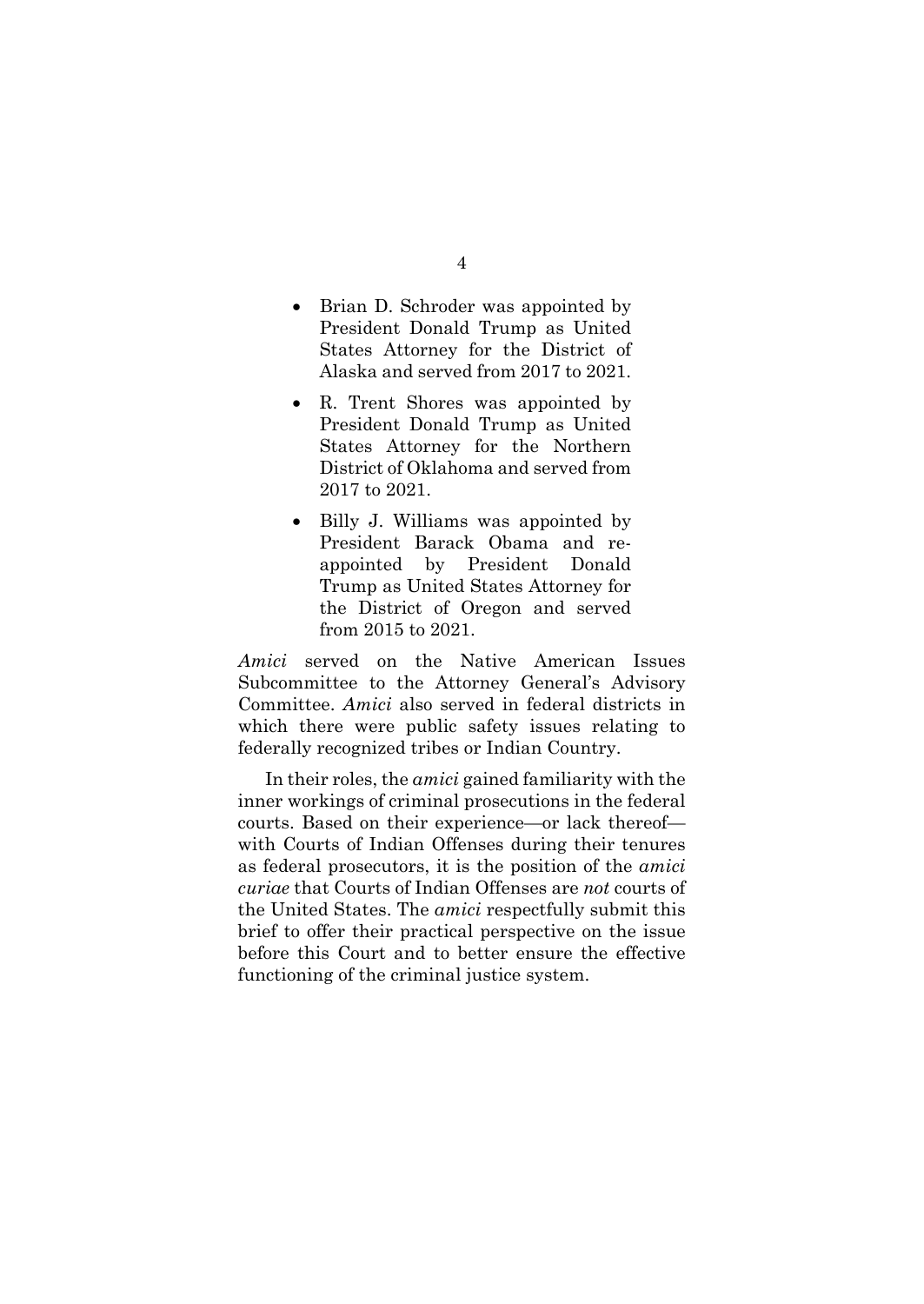- Brian D. Schroder was appointed by President Donald Trump as United States Attorney for the District of Alaska and served from 2017 to 2021.
- R. Trent Shores was appointed by President Donald Trump as United States Attorney for the Northern District of Oklahoma and served from 2017 to 2021.
- Billy J. Williams was appointed by President Barack Obama and reappointed by President Donald Trump as United States Attorney for the District of Oregon and served from 2015 to 2021.

*Amici* served on the Native American Issues Subcommittee to the Attorney General's Advisory Committee. *Amici* also served in federal districts in which there were public safety issues relating to federally recognized tribes or Indian Country.

In their roles, the *amici* gained familiarity with the inner workings of criminal prosecutions in the federal courts. Based on their experience—or lack thereof with Courts of Indian Offenses during their tenures as federal prosecutors, it is the position of the *amici curiae* that Courts of Indian Offenses are *not* courts of the United States. The *amici* respectfully submit this brief to offer their practical perspective on the issue before this Court and to better ensure the effective functioning of the criminal justice system.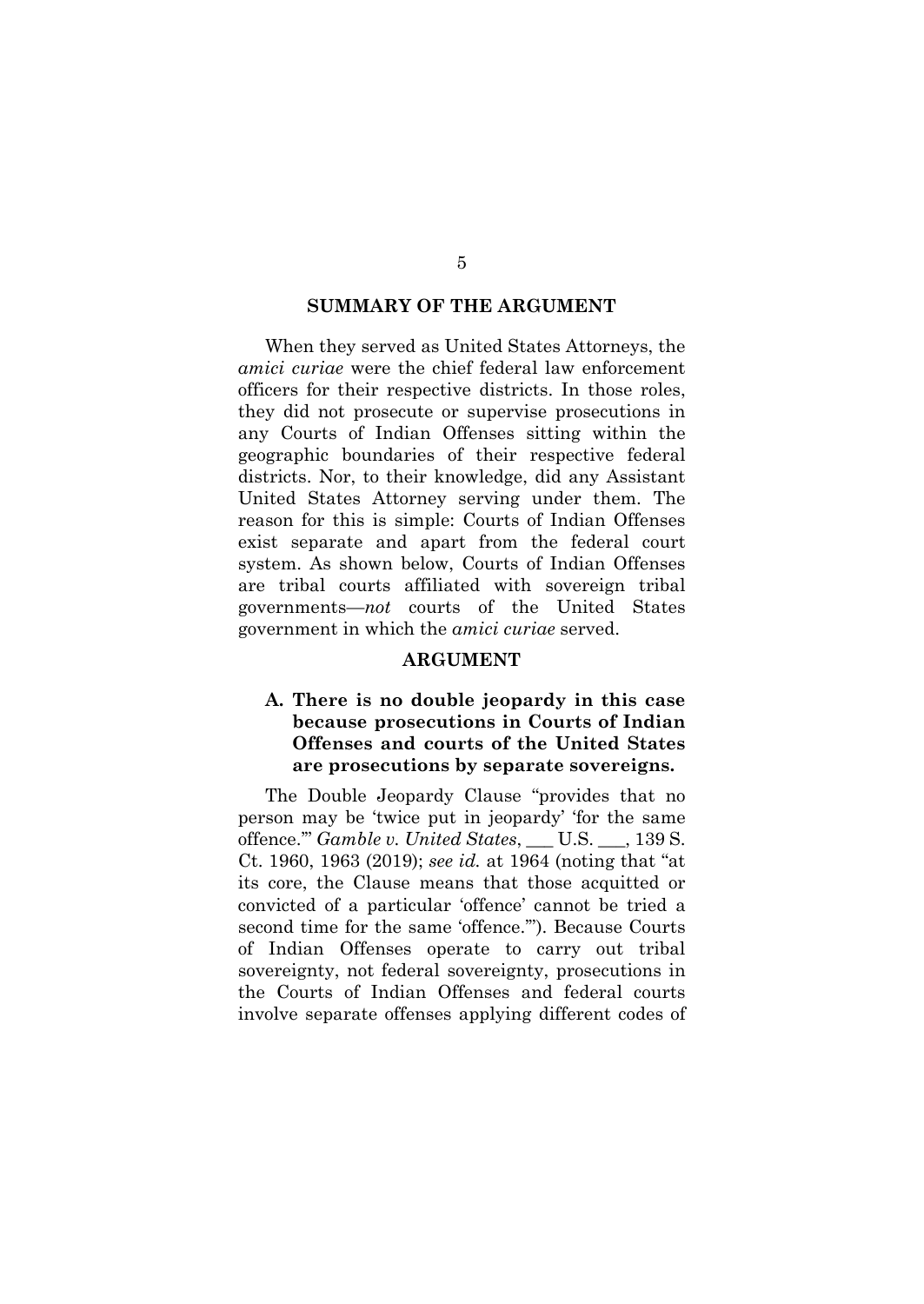#### **SUMMARY OF THE ARGUMENT**

When they served as United States Attorneys, the *amici curiae* were the chief federal law enforcement officers for their respective districts. In those roles, they did not prosecute or supervise prosecutions in any Courts of Indian Offenses sitting within the geographic boundaries of their respective federal districts. Nor, to their knowledge, did any Assistant United States Attorney serving under them. The reason for this is simple: Courts of Indian Offenses exist separate and apart from the federal court system. As shown below, Courts of Indian Offenses are tribal courts affiliated with sovereign tribal governments—*not* courts of the United States government in which the *amici curiae* served.

#### **ARGUMENT**

### **A. There is no double jeopardy in this case because prosecutions in Courts of Indian Offenses and courts of the United States are prosecutions by separate sovereigns.**

The Double Jeopardy Clause "provides that no person may be 'twice put in jeopardy' 'for the same offence.'" *Gamble v. United States*, \_\_\_ U.S. \_\_\_, 139 S. Ct. 1960, 1963 (2019); *see id.* at 1964 (noting that "at its core, the Clause means that those acquitted or convicted of a particular 'offence' cannot be tried a second time for the same 'offence.'"). Because Courts of Indian Offenses operate to carry out tribal sovereignty, not federal sovereignty, prosecutions in the Courts of Indian Offenses and federal courts involve separate offenses applying different codes of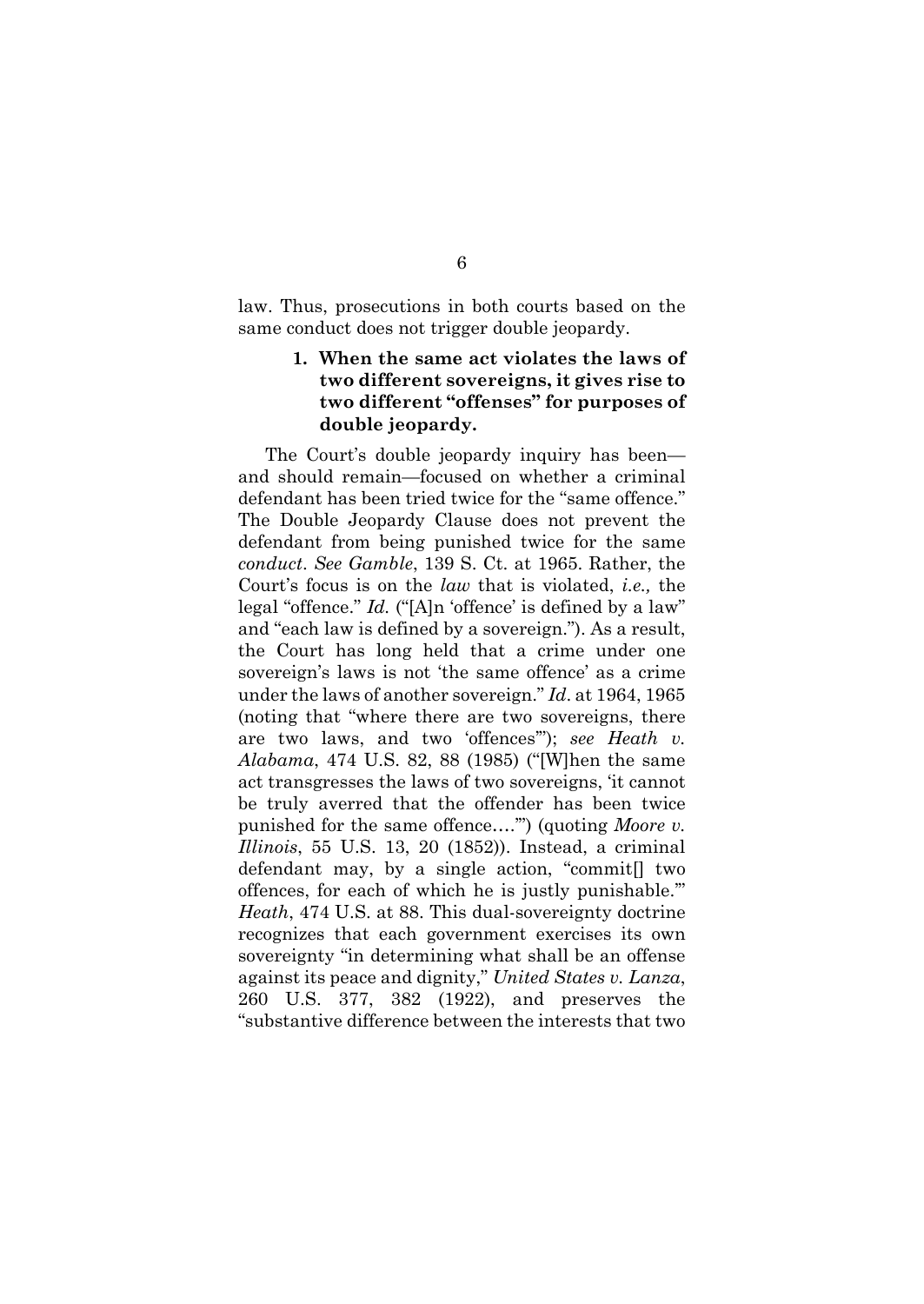law. Thus, prosecutions in both courts based on the same conduct does not trigger double jeopardy.

### **1. When the same act violates the laws of two different sovereigns, it gives rise to two different "offenses" for purposes of double jeopardy.**

The Court's double jeopardy inquiry has been and should remain—focused on whether a criminal defendant has been tried twice for the "same offence." The Double Jeopardy Clause does not prevent the defendant from being punished twice for the same *conduct*. *See Gamble*, 139 S. Ct. at 1965. Rather, the Court's focus is on the *law* that is violated, *i.e.,* the legal "offence." *Id.* ("[A]n 'offence' is defined by a law" and "each law is defined by a sovereign."). As a result, the Court has long held that a crime under one sovereign's laws is not 'the same offence' as a crime under the laws of another sovereign." *Id*. at 1964, 1965 (noting that "where there are two sovereigns, there are two laws, and two 'offences'"); *see Heath v. Alabama*, 474 U.S. 82, 88 (1985) ("[W]hen the same act transgresses the laws of two sovereigns, 'it cannot be truly averred that the offender has been twice punished for the same offence….'") (quoting *Moore v. Illinois*, 55 U.S. 13, 20 (1852)). Instead, a criminal defendant may, by a single action, "commit[] two offences, for each of which he is justly punishable.'" *Heath*, 474 U.S. at 88. This dual-sovereignty doctrine recognizes that each government exercises its own sovereignty "in determining what shall be an offense against its peace and dignity," *United States v. Lanza*, 260 U.S. 377, 382 (1922), and preserves the "substantive difference between the interests that two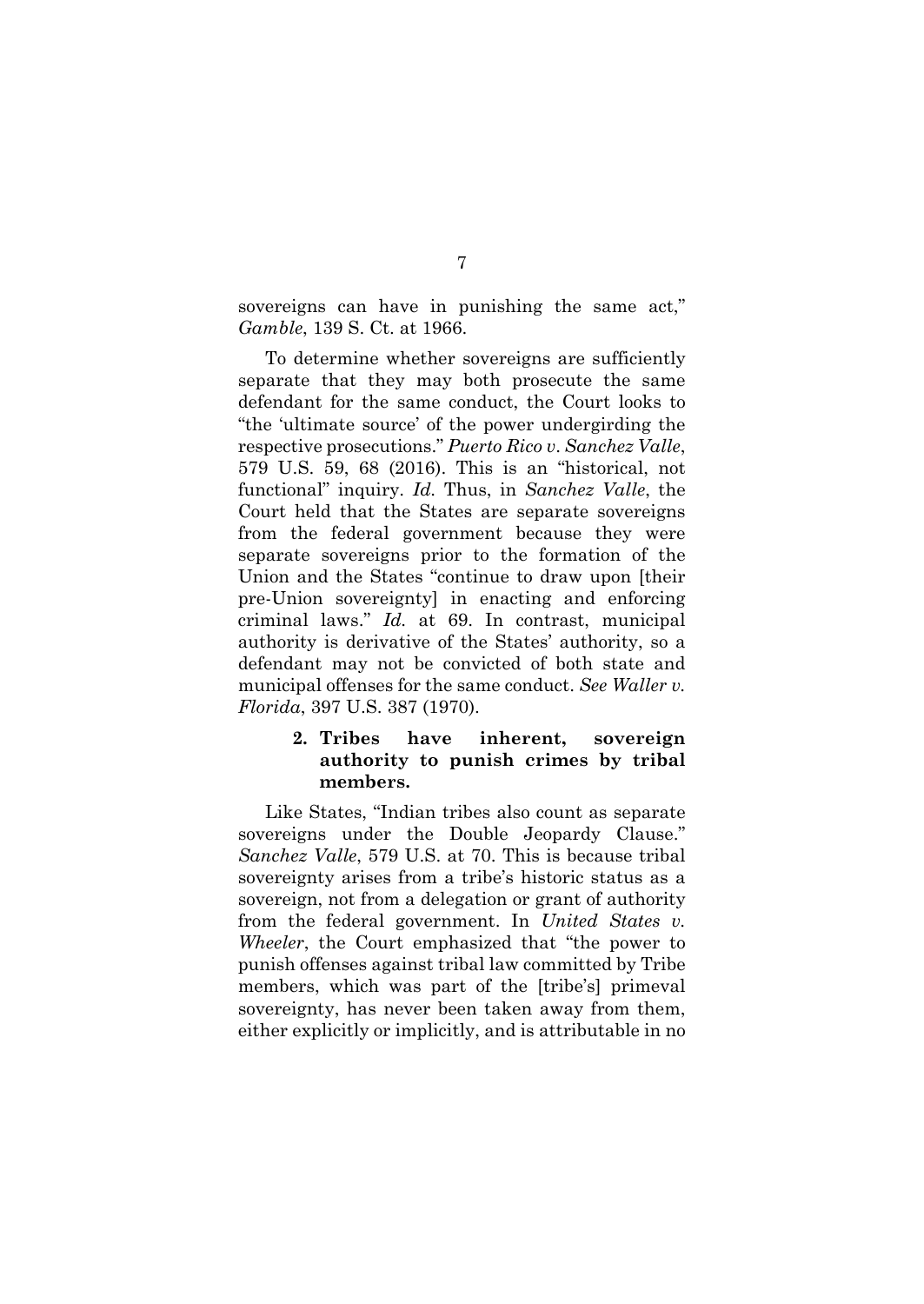sovereigns can have in punishing the same act," *Gamble*, 139 S. Ct. at 1966.

To determine whether sovereigns are sufficiently separate that they may both prosecute the same defendant for the same conduct, the Court looks to "the 'ultimate source' of the power undergirding the respective prosecutions." *Puerto Rico v*. *Sanchez Valle*, 579 U.S. 59, 68 (2016). This is an "historical, not functional" inquiry. *Id.* Thus, in *Sanchez Valle*, the Court held that the States are separate sovereigns from the federal government because they were separate sovereigns prior to the formation of the Union and the States "continue to draw upon [their pre-Union sovereignty] in enacting and enforcing criminal laws." *Id.* at 69. In contrast, municipal authority is derivative of the States' authority, so a defendant may not be convicted of both state and municipal offenses for the same conduct. *See Waller v. Florida*, 397 U.S. 387 (1970).

## **2. Tribes have inherent, sovereign authority to punish crimes by tribal members.**

Like States, "Indian tribes also count as separate sovereigns under the Double Jeopardy Clause." *Sanchez Valle*, 579 U.S. at 70. This is because tribal sovereignty arises from a tribe's historic status as a sovereign, not from a delegation or grant of authority from the federal government. In *United States v. Wheeler*, the Court emphasized that "the power to punish offenses against tribal law committed by Tribe members, which was part of the [tribe's] primeval sovereignty, has never been taken away from them, either explicitly or implicitly, and is attributable in no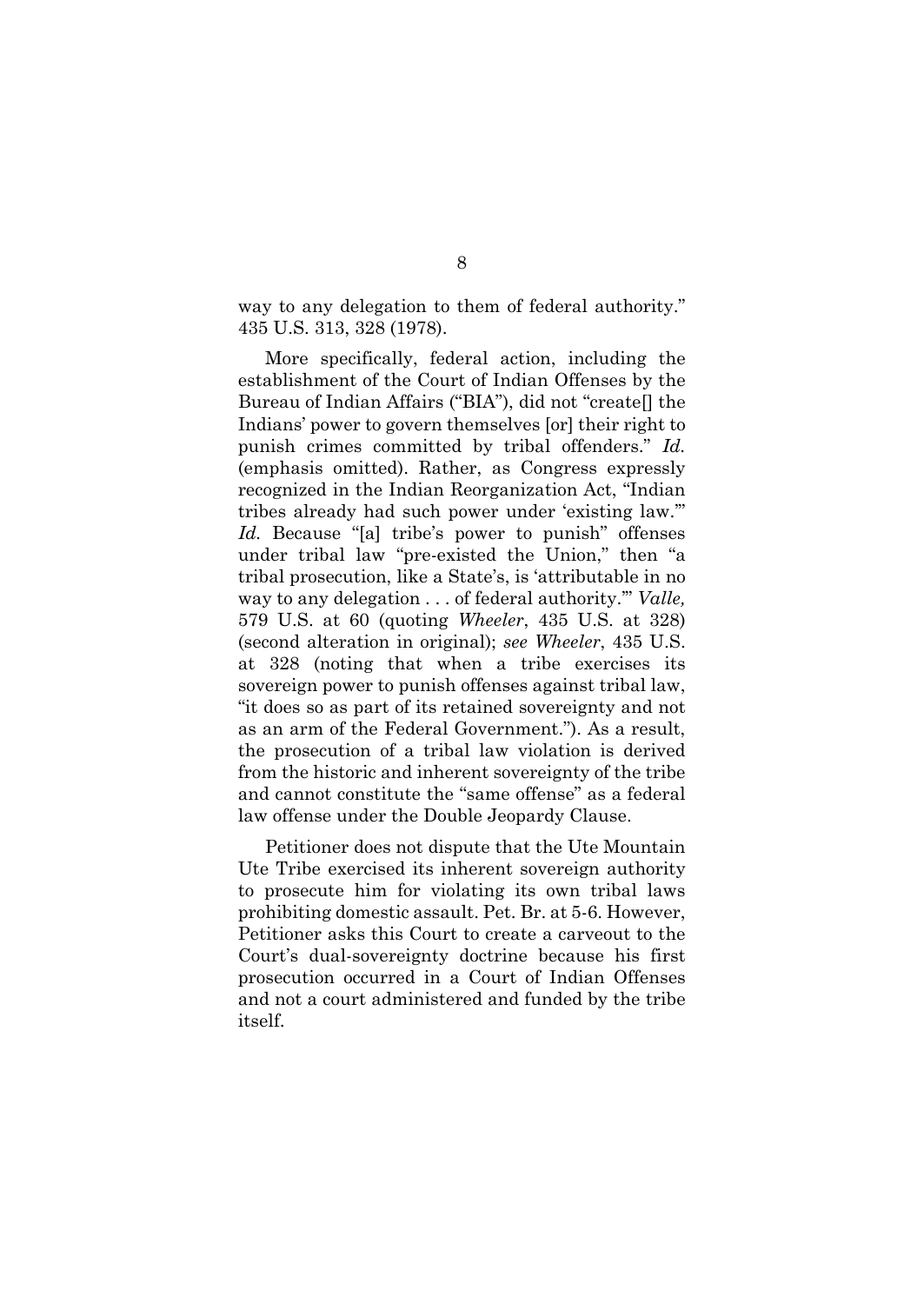way to any delegation to them of federal authority." 435 U.S. 313, 328 (1978).

More specifically, federal action, including the establishment of the Court of Indian Offenses by the Bureau of Indian Affairs ("BIA"), did not "create[] the Indians' power to govern themselves [or] their right to punish crimes committed by tribal offenders." *Id.*  (emphasis omitted). Rather, as Congress expressly recognized in the Indian Reorganization Act, "Indian tribes already had such power under 'existing law.'" *Id.* Because "[a] tribe's power to punish" offenses under tribal law "pre-existed the Union," then "a tribal prosecution, like a State's, is 'attributable in no way to any delegation . . . of federal authority.'" *Valle,*  579 U.S. at 60 (quoting *Wheeler*, 435 U.S. at 328) (second alteration in original); *see Wheeler*, 435 U.S. at 328 (noting that when a tribe exercises its sovereign power to punish offenses against tribal law, "it does so as part of its retained sovereignty and not as an arm of the Federal Government."). As a result, the prosecution of a tribal law violation is derived from the historic and inherent sovereignty of the tribe and cannot constitute the "same offense" as a federal law offense under the Double Jeopardy Clause.

Petitioner does not dispute that the Ute Mountain Ute Tribe exercised its inherent sovereign authority to prosecute him for violating its own tribal laws prohibiting domestic assault. Pet. Br. at 5-6. However, Petitioner asks this Court to create a carveout to the Court's dual-sovereignty doctrine because his first prosecution occurred in a Court of Indian Offenses and not a court administered and funded by the tribe itself.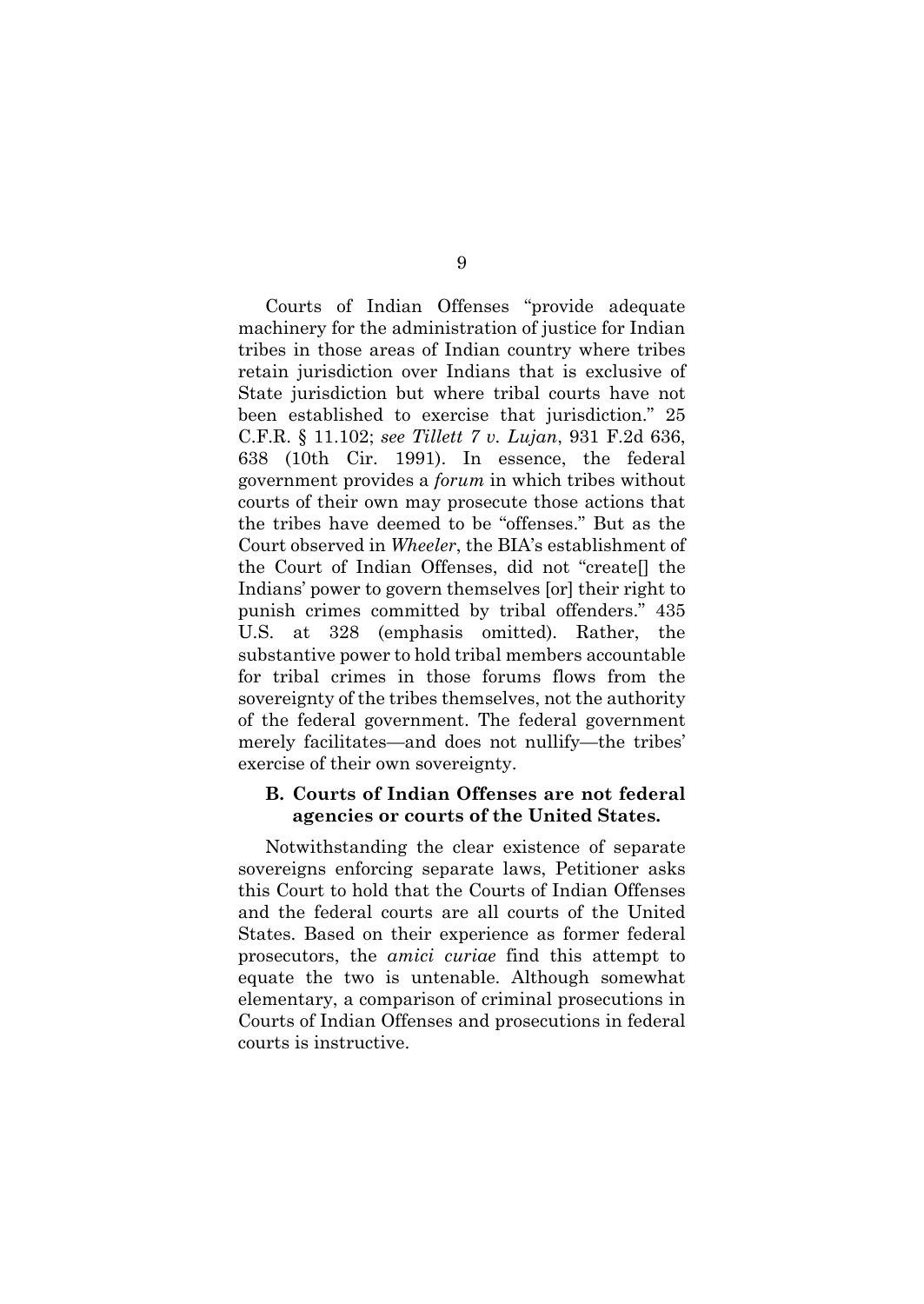Courts of Indian Offenses "provide adequate machinery for the administration of justice for Indian tribes in those areas of Indian country where tribes retain jurisdiction over Indians that is exclusive of State jurisdiction but where tribal courts have not been established to exercise that jurisdiction." 25 C.F.R. § 11.102; *see Tillett 7 v. Lujan*, 931 F.2d 636, 638 (10th Cir. 1991). In essence, the federal government provides a *forum* in which tribes without courts of their own may prosecute those actions that the tribes have deemed to be "offenses." But as the Court observed in *Wheeler*, the BIA's establishment of the Court of Indian Offenses, did not "create[] the Indians' power to govern themselves [or] their right to punish crimes committed by tribal offenders." 435 U.S. at 328 (emphasis omitted). Rather, the substantive power to hold tribal members accountable for tribal crimes in those forums flows from the sovereignty of the tribes themselves, not the authority of the federal government. The federal government merely facilitates—and does not nullify—the tribes' exercise of their own sovereignty.

### **B. Courts of Indian Offenses are not federal agencies or courts of the United States.**

Notwithstanding the clear existence of separate sovereigns enforcing separate laws, Petitioner asks this Court to hold that the Courts of Indian Offenses and the federal courts are all courts of the United States. Based on their experience as former federal prosecutors, the *amici curiae* find this attempt to equate the two is untenable. Although somewhat elementary, a comparison of criminal prosecutions in Courts of Indian Offenses and prosecutions in federal courts is instructive.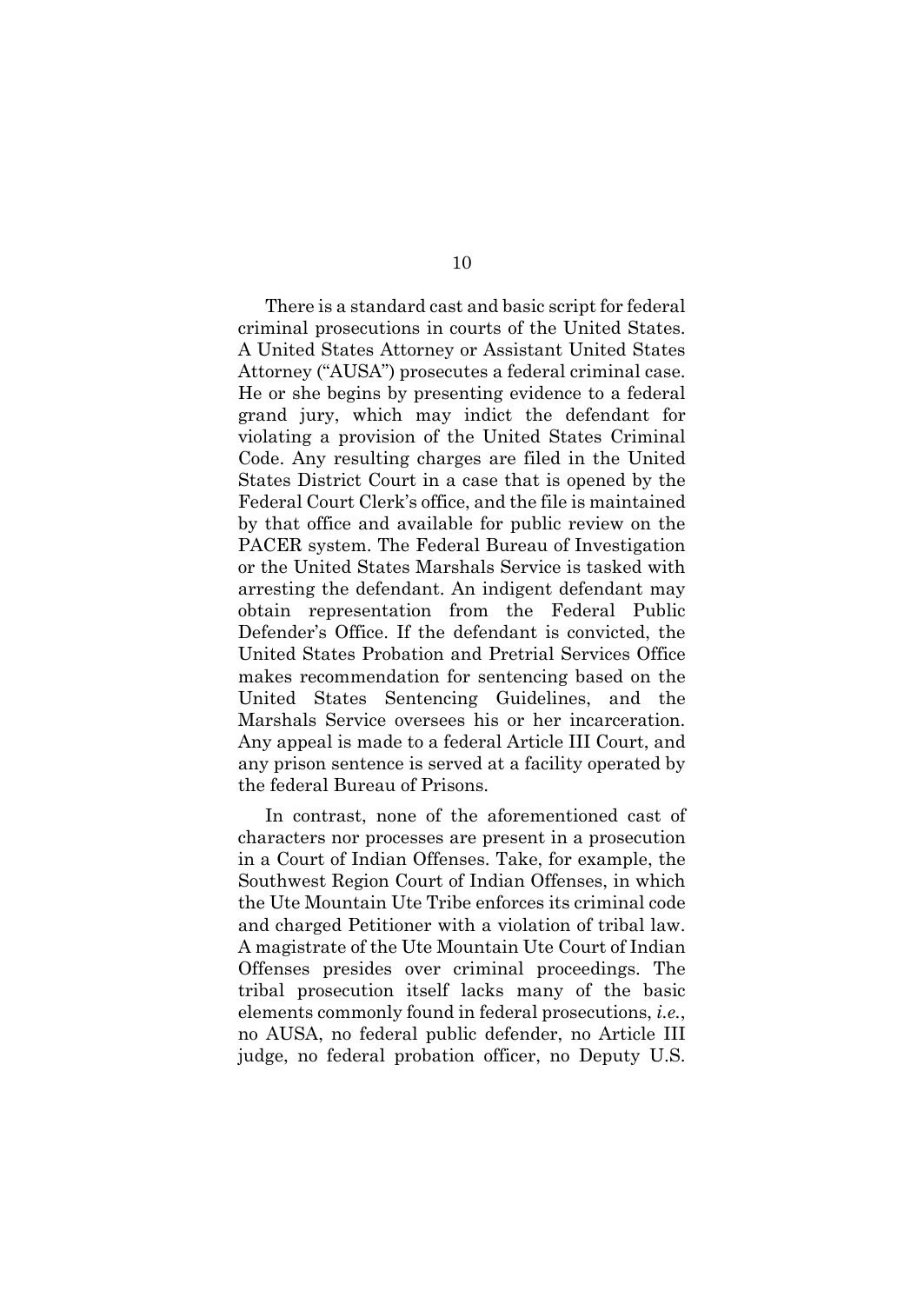There is a standard cast and basic script for federal criminal prosecutions in courts of the United States. A United States Attorney or Assistant United States Attorney ("AUSA") prosecutes a federal criminal case. He or she begins by presenting evidence to a federal grand jury, which may indict the defendant for violating a provision of the United States Criminal Code. Any resulting charges are filed in the United States District Court in a case that is opened by the Federal Court Clerk's office, and the file is maintained by that office and available for public review on the PACER system. The Federal Bureau of Investigation or the United States Marshals Service is tasked with arresting the defendant. An indigent defendant may obtain representation from the Federal Public Defender's Office. If the defendant is convicted, the United States Probation and Pretrial Services Office makes recommendation for sentencing based on the United States Sentencing Guidelines, and the Marshals Service oversees his or her incarceration. Any appeal is made to a federal Article III Court, and any prison sentence is served at a facility operated by the federal Bureau of Prisons.

In contrast, none of the aforementioned cast of characters nor processes are present in a prosecution in a Court of Indian Offenses. Take, for example, the Southwest Region Court of Indian Offenses, in which the Ute Mountain Ute Tribe enforces its criminal code and charged Petitioner with a violation of tribal law. A magistrate of the Ute Mountain Ute Court of Indian Offenses presides over criminal proceedings. The tribal prosecution itself lacks many of the basic elements commonly found in federal prosecutions, *i.e.*, no AUSA, no federal public defender, no Article III judge, no federal probation officer, no Deputy U.S.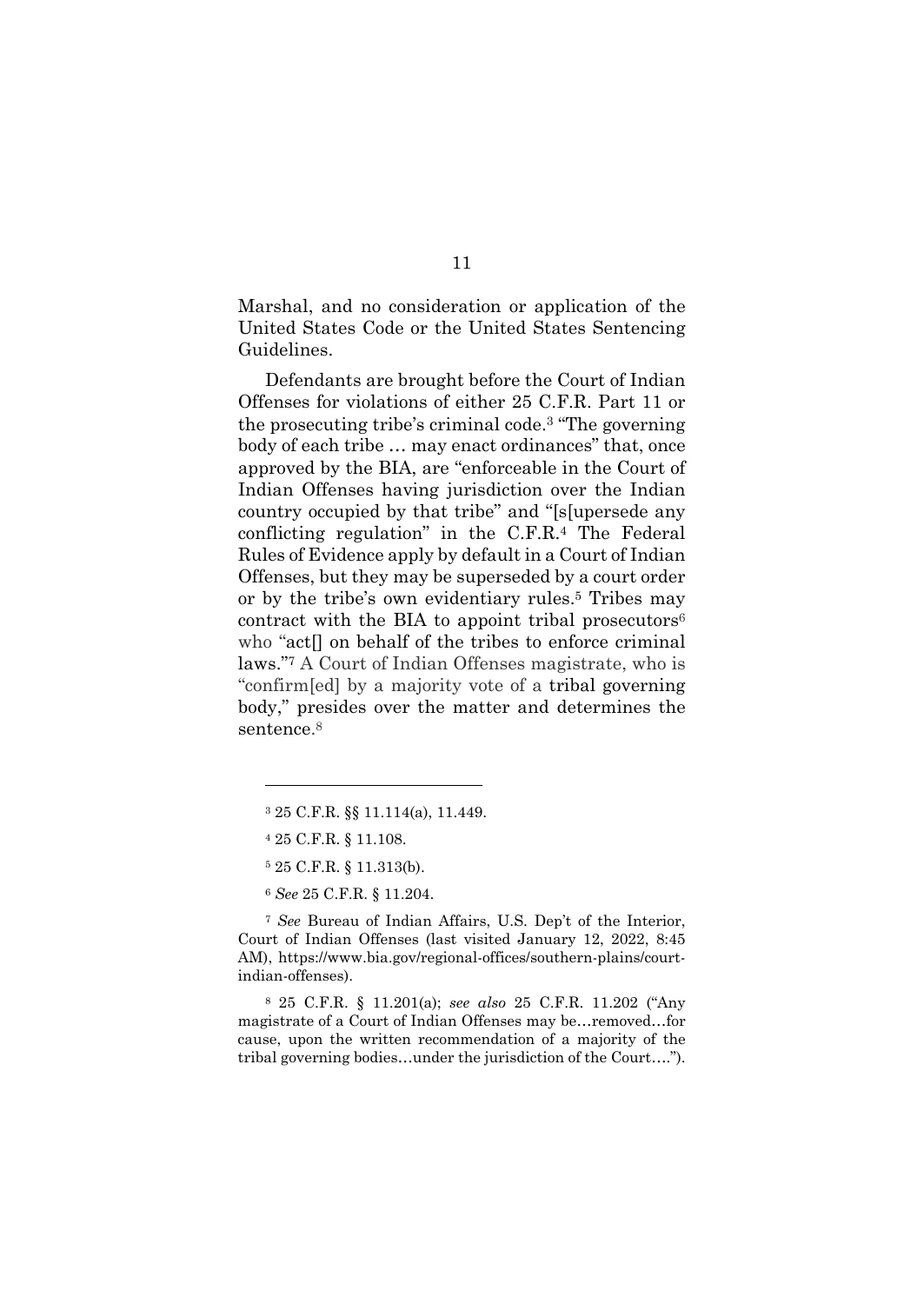Marshal, and no consideration or application of the United States Code or the United States Sentencing Guidelines.

Defendants are brought before the Court of Indian Offenses for violations of either 25 C.F.R. Part 11 or the prosecuting tribe's criminal code.3 "The governing body of each tribe … may enact ordinances" that, once approved by the BIA, are "enforceable in the Court of Indian Offenses having jurisdiction over the Indian country occupied by that tribe" and "[s[upersede any conflicting regulation" in the C.F.R.4 The Federal Rules of Evidence apply by default in a Court of Indian Offenses, but they may be superseded by a court order or by the tribe's own evidentiary rules.5 Tribes may contract with the BIA to appoint tribal prosecutors $6$ who "act<sup>[]</sup> on behalf of the tribes to enforce criminal laws."7 A Court of Indian Offenses magistrate, who is "confirm[ed] by a majority vote of a tribal governing body," presides over the matter and determines the sentence.8

<sup>7</sup> *See* Bureau of Indian Affairs, U.S. Dep't of the Interior, Court of Indian Offenses (last visited January 12, 2022, 8:45 AM), https://www.bia.gov/regional-offices/southern-plains/courtindian-offenses).

8 25 C.F.R. § 11.201(a); *see also* 25 C.F.R. 11.202 ("Any magistrate of a Court of Indian Offenses may be…removed…for cause, upon the written recommendation of a majority of the tribal governing bodies…under the jurisdiction of the Court….").

<sup>3 25</sup> C.F.R. §§ 11.114(a), 11.449.

<sup>4 25</sup> C.F.R. § 11.108.

<sup>5 25</sup> C.F.R. § 11.313(b).

<sup>6</sup> *See* 25 C.F.R. § 11.204.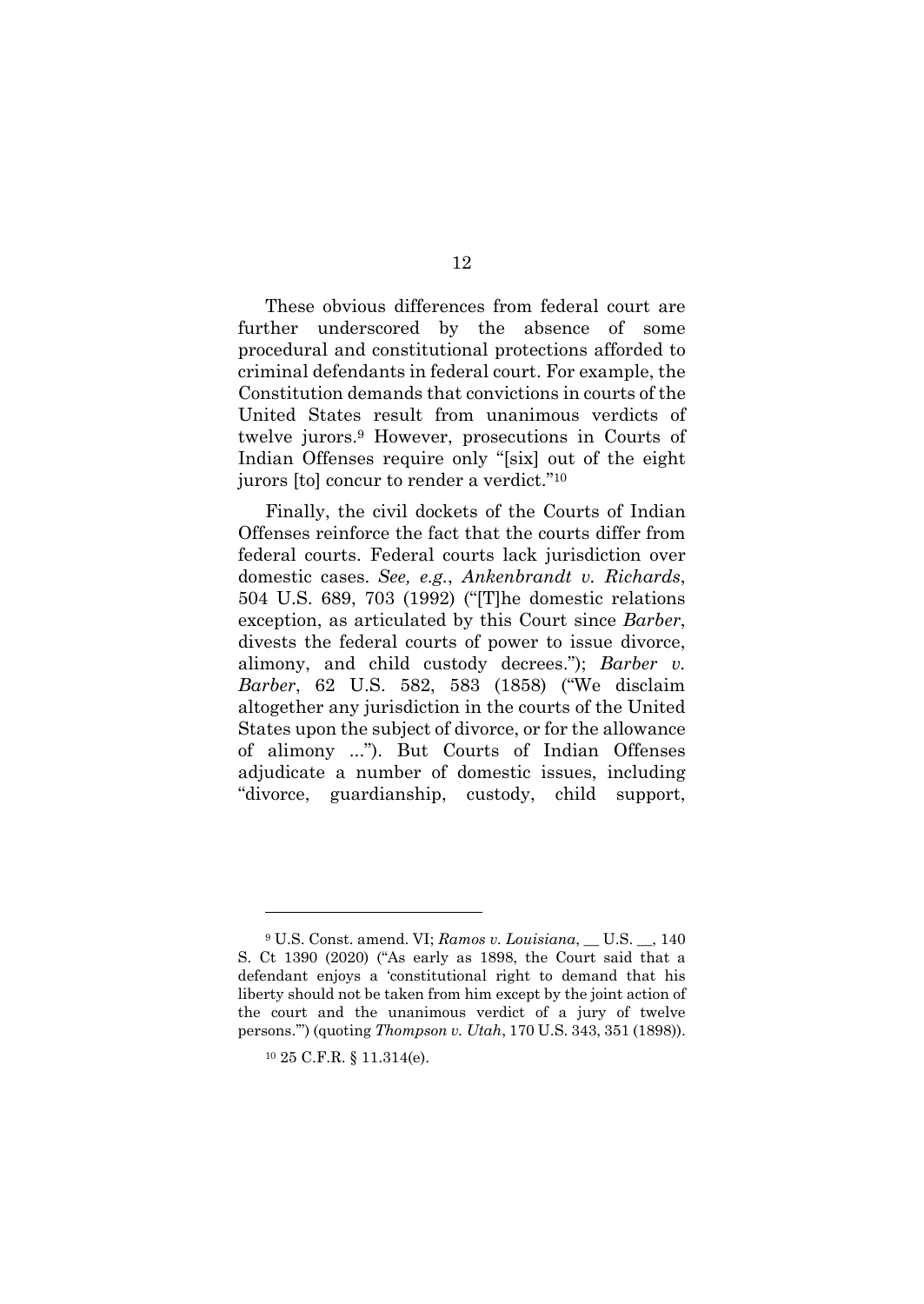These obvious differences from federal court are further underscored by the absence of some procedural and constitutional protections afforded to criminal defendants in federal court. For example, the Constitution demands that convictions in courts of the United States result from unanimous verdicts of twelve jurors.9 However, prosecutions in Courts of Indian Offenses require only "[six] out of the eight jurors [to] concur to render a verdict."10

Finally, the civil dockets of the Courts of Indian Offenses reinforce the fact that the courts differ from federal courts. Federal courts lack jurisdiction over domestic cases. *See, e.g.*, *Ankenbrandt v. Richards*, 504 U.S. 689, 703 (1992) ("[T]he domestic relations exception, as articulated by this Court since *Barber*, divests the federal courts of power to issue divorce, alimony, and child custody decrees."); *Barber v. Barber*, 62 U.S. 582, 583 (1858) ("We disclaim altogether any jurisdiction in the courts of the United States upon the subject of divorce, or for the allowance of alimony ..."). But Courts of Indian Offenses adjudicate a number of domestic issues, including "divorce, guardianship, custody, child support,

<sup>9</sup> U.S. Const. amend. VI; *Ramos v. Louisiana*, \_\_ U.S. \_\_, 140 S. Ct 1390 (2020) ("As early as 1898, the Court said that a defendant enjoys a 'constitutional right to demand that his liberty should not be taken from him except by the joint action of the court and the unanimous verdict of a jury of twelve persons.'") (quoting *Thompson v. Utah*, 170 U.S. 343, 351 (1898)).

<sup>10 25</sup> C.F.R. § 11.314(e).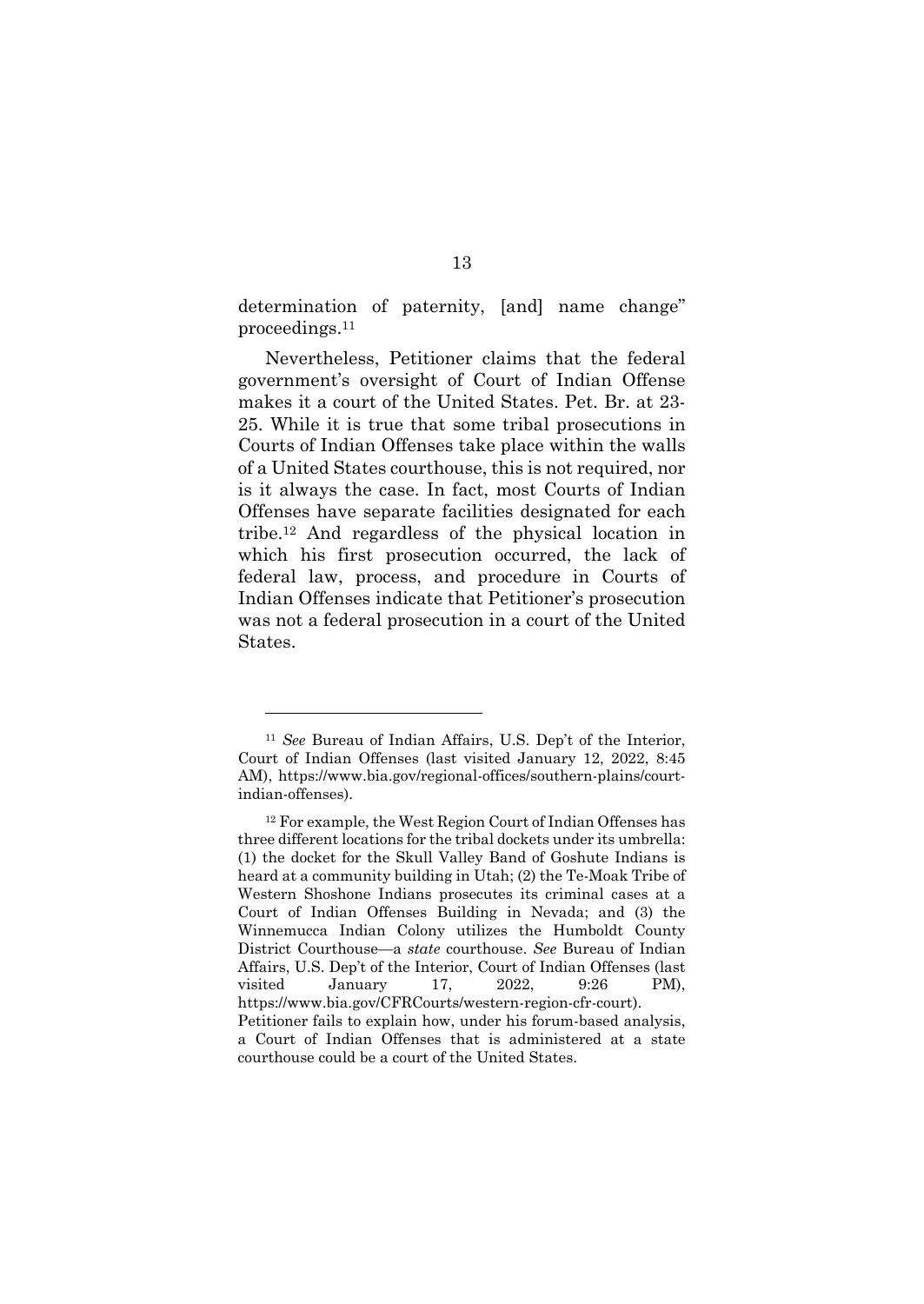determination of paternity, [and] name change" proceedings.11

Nevertheless, Petitioner claims that the federal government's oversight of Court of Indian Offense makes it a court of the United States. Pet. Br. at 23- 25. While it is true that some tribal prosecutions in Courts of Indian Offenses take place within the walls of a United States courthouse, this is not required, nor is it always the case. In fact, most Courts of Indian Offenses have separate facilities designated for each tribe.12 And regardless of the physical location in which his first prosecution occurred, the lack of federal law, process, and procedure in Courts of Indian Offenses indicate that Petitioner's prosecution was not a federal prosecution in a court of the United States.

<sup>11</sup> *See* Bureau of Indian Affairs, U.S. Dep't of the Interior, Court of Indian Offenses (last visited January 12, 2022, 8:45 AM), https://www.bia.gov/regional-offices/southern-plains/courtindian-offenses).

<sup>12</sup> For example, the West Region Court of Indian Offenses has three different locations for the tribal dockets under its umbrella: (1) the docket for the Skull Valley Band of Goshute Indians is heard at a community building in Utah; (2) the Te-Moak Tribe of Western Shoshone Indians prosecutes its criminal cases at a Court of Indian Offenses Building in Nevada; and (3) the Winnemucca Indian Colony utilizes the Humboldt County District Courthouse—a *state* courthouse. *See* Bureau of Indian Affairs, U.S. Dep't of the Interior, Court of Indian Offenses (last visited January 17, 2022, 9:26 PM), https://www.bia.gov/CFRCourts/western-region-cfr-court). Petitioner fails to explain how, under his forum-based analysis, a Court of Indian Offenses that is administered at a state courthouse could be a court of the United States.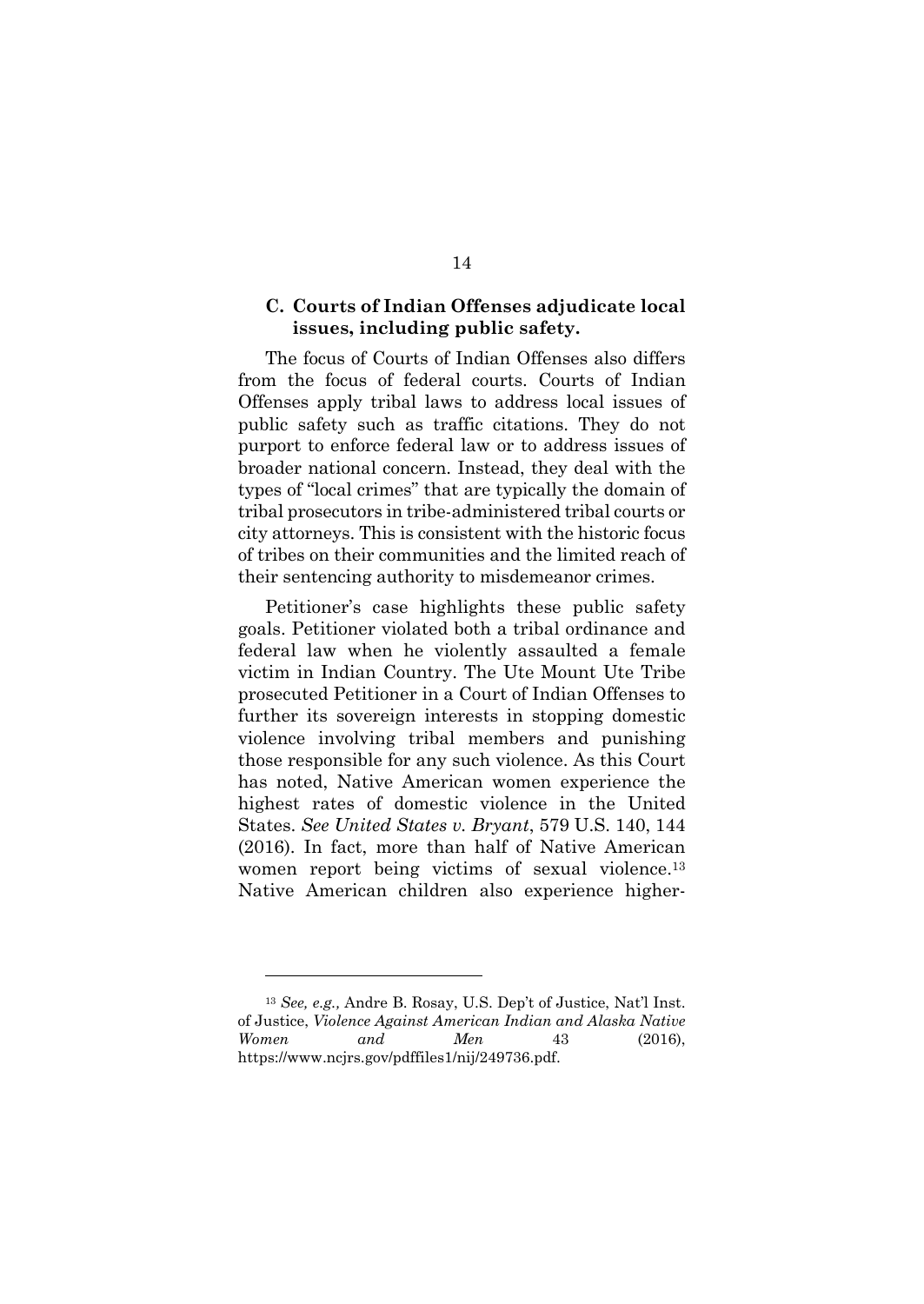### **C. Courts of Indian Offenses adjudicate local issues, including public safety.**

The focus of Courts of Indian Offenses also differs from the focus of federal courts. Courts of Indian Offenses apply tribal laws to address local issues of public safety such as traffic citations. They do not purport to enforce federal law or to address issues of broader national concern. Instead, they deal with the types of "local crimes" that are typically the domain of tribal prosecutors in tribe-administered tribal courts or city attorneys. This is consistent with the historic focus of tribes on their communities and the limited reach of their sentencing authority to misdemeanor crimes.

Petitioner's case highlights these public safety goals. Petitioner violated both a tribal ordinance and federal law when he violently assaulted a female victim in Indian Country. The Ute Mount Ute Tribe prosecuted Petitioner in a Court of Indian Offenses to further its sovereign interests in stopping domestic violence involving tribal members and punishing those responsible for any such violence. As this Court has noted, Native American women experience the highest rates of domestic violence in the United States. *See United States v. Bryant*, 579 U.S. 140, 144 (2016). In fact, more than half of Native American women report being victims of sexual violence.<sup>13</sup> Native American children also experience higher-

<sup>13</sup> *See, e.g.,* Andre B. Rosay, U.S. Dep't of Justice, Nat'l Inst. of Justice, *Violence Against American Indian and Alaska Native Women and Men* 43 (2016), https://www.ncjrs.gov/pdffiles1/nij/249736.pdf.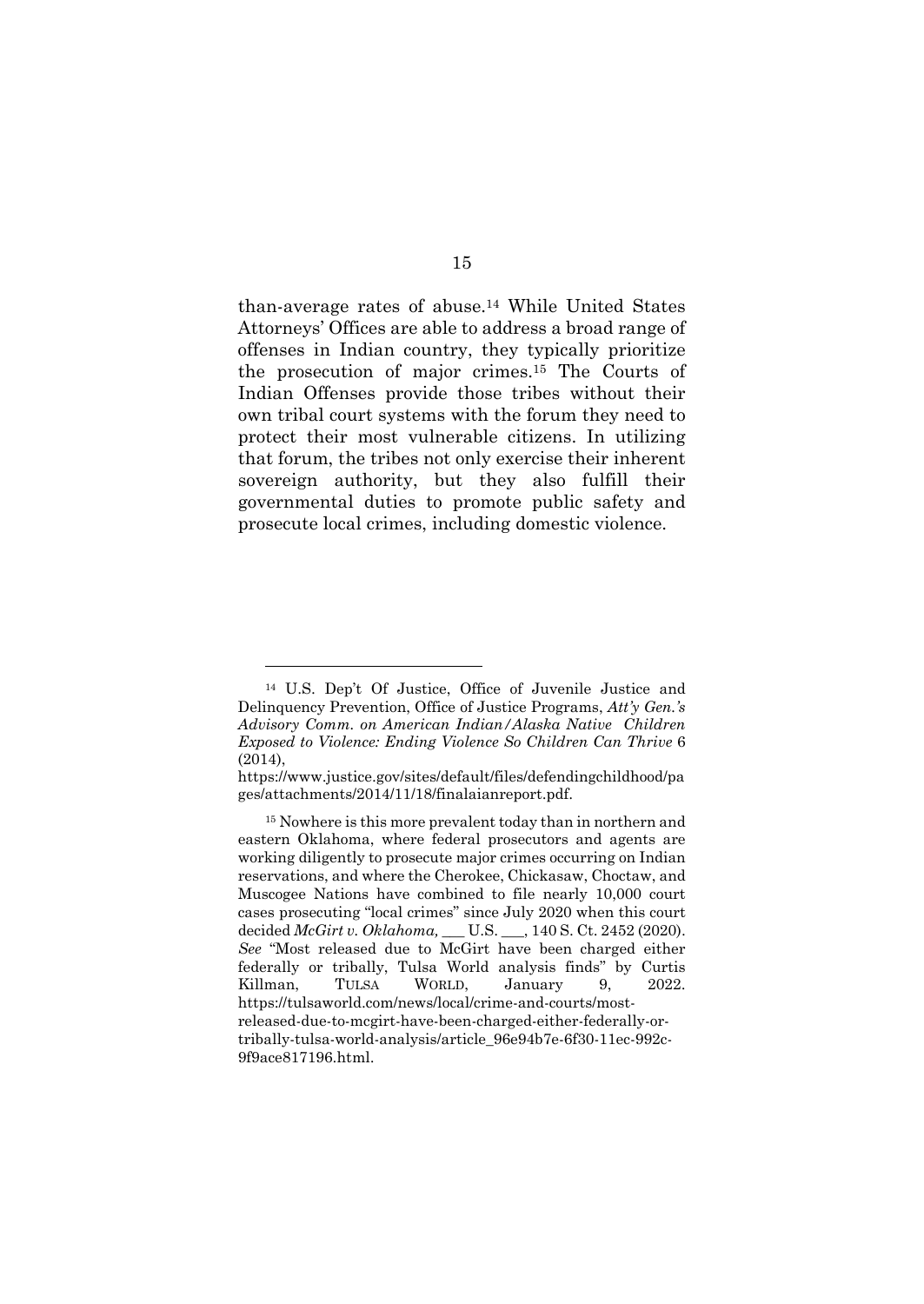than-average rates of abuse.14 While United States Attorneys' Offices are able to address a broad range of offenses in Indian country, they typically prioritize the prosecution of major crimes.15 The Courts of Indian Offenses provide those tribes without their own tribal court systems with the forum they need to protect their most vulnerable citizens. In utilizing that forum, the tribes not only exercise their inherent sovereign authority, but they also fulfill their governmental duties to promote public safety and prosecute local crimes, including domestic violence.

<sup>14</sup> U.S. Dep't Of Justice, Office of Juvenile Justice and Delinquency Prevention, Office of Justice Programs, *Att'y Gen.'s Advisory Comm. on American Indian/Alaska Native Children Exposed to Violence: Ending Violence So Children Can Thrive* 6 (2014),

https://www.justice.gov/sites/default/files/defendingchildhood/pa ges/attachments/2014/11/18/finalaianreport.pdf.

<sup>15</sup> Nowhere is this more prevalent today than in northern and eastern Oklahoma, where federal prosecutors and agents are working diligently to prosecute major crimes occurring on Indian reservations, and where the Cherokee, Chickasaw, Choctaw, and Muscogee Nations have combined to file nearly 10,000 court cases prosecuting "local crimes" since July 2020 when this court decided *McGirt v. Oklahoma,* \_\_\_ U.S. \_\_\_, 140 S. Ct. 2452 (2020). *See* "Most released due to McGirt have been charged either federally or tribally, Tulsa World analysis finds" by Curtis Killman, TULSA WORLD, January 9, 2022. https://tulsaworld.com/news/local/crime-and-courts/mostreleased-due-to-mcgirt-have-been-charged-either-federally-ortribally-tulsa-world-analysis/article\_96e94b7e-6f30-11ec-992c-9f9ace817196.html.